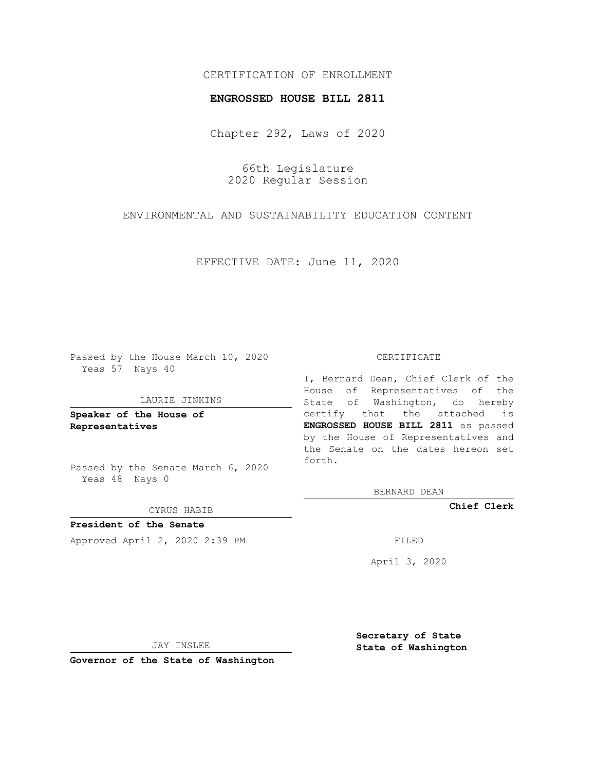# CERTIFICATION OF ENROLLMENT

## **ENGROSSED HOUSE BILL 2811**

Chapter 292, Laws of 2020

66th Legislature 2020 Regular Session

ENVIRONMENTAL AND SUSTAINABILITY EDUCATION CONTENT

EFFECTIVE DATE: June 11, 2020

Passed by the House March 10, 2020 Yeas 57 Nays 40

## LAURIE JINKINS

**Speaker of the House of Representatives**

Passed by the Senate March 6, 2020 Yeas 48 Nays 0

#### CYRUS HABIB

**President of the Senate** Approved April 2, 2020 2:39 PM FILED

### CERTIFICATE

I, Bernard Dean, Chief Clerk of the House of Representatives of the State of Washington, do hereby certify that the attached is **ENGROSSED HOUSE BILL 2811** as passed by the House of Representatives and the Senate on the dates hereon set forth.

BERNARD DEAN

**Chief Clerk**

April 3, 2020

JAY INSLEE

**Governor of the State of Washington**

**Secretary of State State of Washington**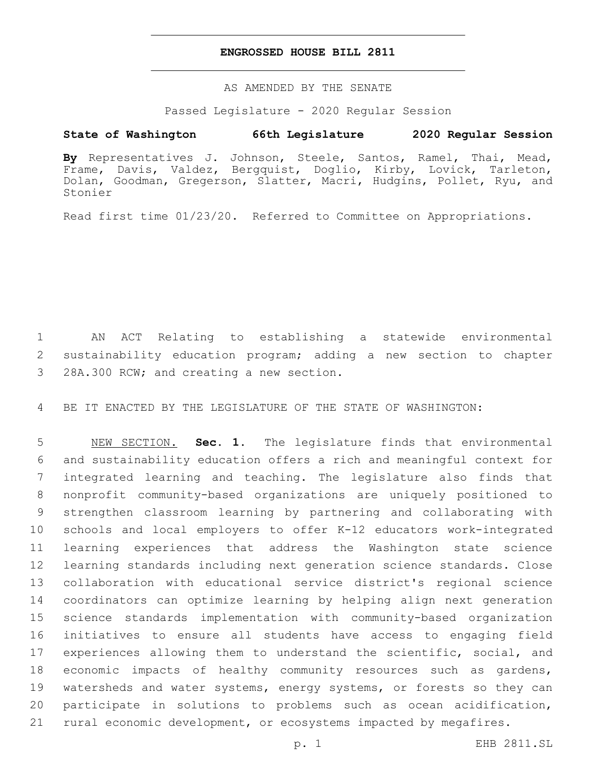## **ENGROSSED HOUSE BILL 2811**

AS AMENDED BY THE SENATE

Passed Legislature - 2020 Regular Session

# **State of Washington 66th Legislature 2020 Regular Session**

**By** Representatives J. Johnson, Steele, Santos, Ramel, Thai, Mead, Frame, Davis, Valdez, Bergquist, Doglio, Kirby, Lovick, Tarleton, Dolan, Goodman, Gregerson, Slatter, Macri, Hudgins, Pollet, Ryu, and Stonier

Read first time 01/23/20. Referred to Committee on Appropriations.

 AN ACT Relating to establishing a statewide environmental sustainability education program; adding a new section to chapter 3 28A.300 RCW; and creating a new section.

BE IT ENACTED BY THE LEGISLATURE OF THE STATE OF WASHINGTON:

 NEW SECTION. **Sec. 1.** The legislature finds that environmental and sustainability education offers a rich and meaningful context for integrated learning and teaching. The legislature also finds that nonprofit community-based organizations are uniquely positioned to strengthen classroom learning by partnering and collaborating with schools and local employers to offer K-12 educators work-integrated learning experiences that address the Washington state science learning standards including next generation science standards. Close collaboration with educational service district's regional science coordinators can optimize learning by helping align next generation science standards implementation with community-based organization initiatives to ensure all students have access to engaging field experiences allowing them to understand the scientific, social, and economic impacts of healthy community resources such as gardens, 19 watersheds and water systems, energy systems, or forests so they can participate in solutions to problems such as ocean acidification, rural economic development, or ecosystems impacted by megafires.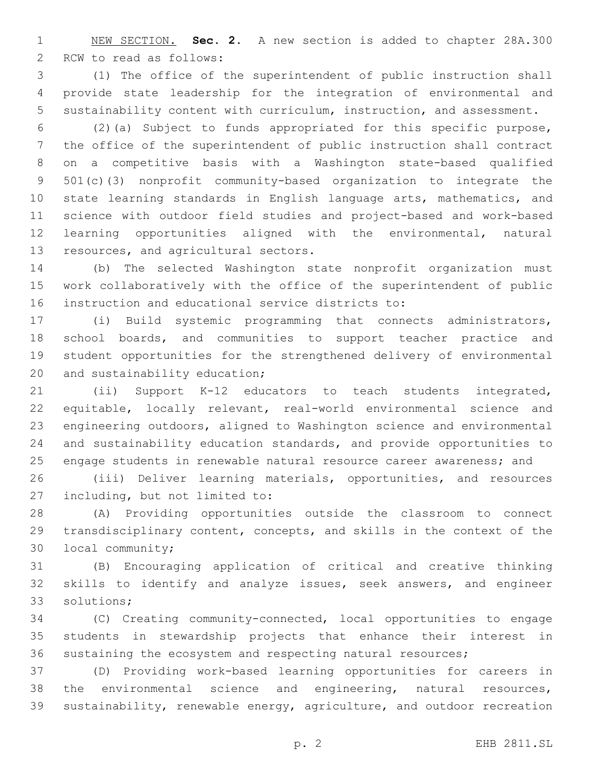NEW SECTION. **Sec. 2.** A new section is added to chapter 28A.300 2 RCW to read as follows:

 (1) The office of the superintendent of public instruction shall provide state leadership for the integration of environmental and sustainability content with curriculum, instruction, and assessment.

 (2)(a) Subject to funds appropriated for this specific purpose, the office of the superintendent of public instruction shall contract on a competitive basis with a Washington state-based qualified 501(c)(3) nonprofit community-based organization to integrate the state learning standards in English language arts, mathematics, and science with outdoor field studies and project-based and work-based learning opportunities aligned with the environmental, natural 13 resources, and agricultural sectors.

 (b) The selected Washington state nonprofit organization must work collaboratively with the office of the superintendent of public 16 instruction and educational service districts to:

 (i) Build systemic programming that connects administrators, school boards, and communities to support teacher practice and student opportunities for the strengthened delivery of environmental 20 and sustainability education;

 (ii) Support K-12 educators to teach students integrated, equitable, locally relevant, real-world environmental science and engineering outdoors, aligned to Washington science and environmental and sustainability education standards, and provide opportunities to 25 engage students in renewable natural resource career awareness; and

 (iii) Deliver learning materials, opportunities, and resources 27 including, but not limited to:

 (A) Providing opportunities outside the classroom to connect transdisciplinary content, concepts, and skills in the context of the 30 local community;

 (B) Encouraging application of critical and creative thinking skills to identify and analyze issues, seek answers, and engineer 33 solutions;

 (C) Creating community-connected, local opportunities to engage students in stewardship projects that enhance their interest in sustaining the ecosystem and respecting natural resources;

 (D) Providing work-based learning opportunities for careers in the environmental science and engineering, natural resources, sustainability, renewable energy, agriculture, and outdoor recreation